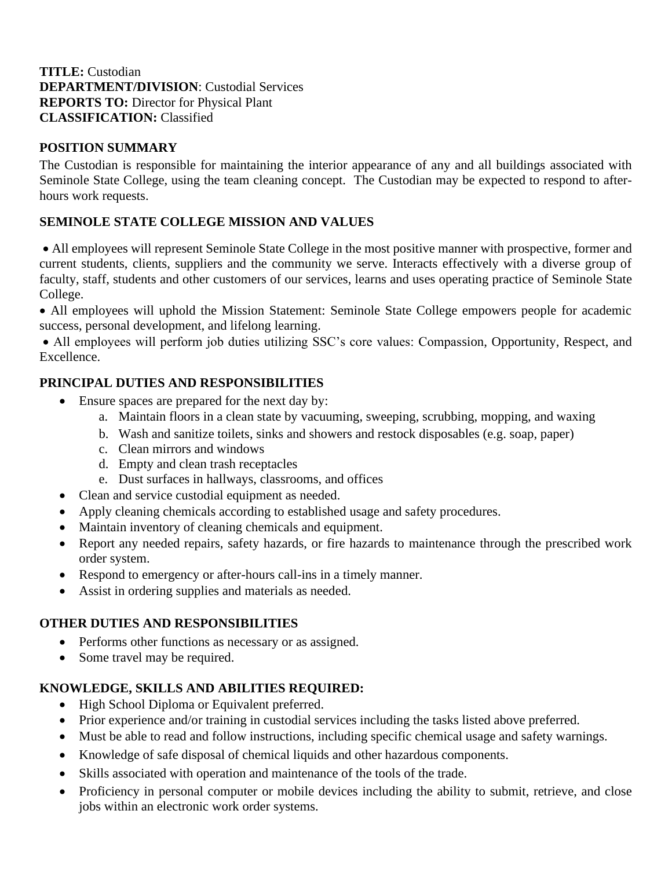### **TITLE:** Custodian **DEPARTMENT/DIVISION**: Custodial Services **REPORTS TO:** Director for Physical Plant **CLASSIFICATION:** Classified

## **POSITION SUMMARY**

The Custodian is responsible for maintaining the interior appearance of any and all buildings associated with Seminole State College, using the team cleaning concept. The Custodian may be expected to respond to afterhours work requests.

### **SEMINOLE STATE COLLEGE MISSION AND VALUES**

• All employees will represent Seminole State College in the most positive manner with prospective, former and current students, clients, suppliers and the community we serve. Interacts effectively with a diverse group of faculty, staff, students and other customers of our services, learns and uses operating practice of Seminole State College.

• All employees will uphold the Mission Statement: Seminole State College empowers people for academic success, personal development, and lifelong learning.

• All employees will perform job duties utilizing SSC's core values: Compassion, Opportunity, Respect, and Excellence.

# **PRINCIPAL DUTIES AND RESPONSIBILITIES**

- Ensure spaces are prepared for the next day by:
	- a. Maintain floors in a clean state by vacuuming, sweeping, scrubbing, mopping, and waxing
	- b. Wash and sanitize toilets, sinks and showers and restock disposables (e.g. soap, paper)
	- c. Clean mirrors and windows
	- d. Empty and clean trash receptacles
	- e. Dust surfaces in hallways, classrooms, and offices
- Clean and service custodial equipment as needed.
- Apply cleaning chemicals according to established usage and safety procedures.
- Maintain inventory of cleaning chemicals and equipment.
- Report any needed repairs, safety hazards, or fire hazards to maintenance through the prescribed work order system.
- Respond to emergency or after-hours call-ins in a timely manner.
- Assist in ordering supplies and materials as needed.

### **OTHER DUTIES AND RESPONSIBILITIES**

- Performs other functions as necessary or as assigned.
- Some travel may be required.

### **KNOWLEDGE, SKILLS AND ABILITIES REQUIRED:**

- High School Diploma or Equivalent preferred.
- Prior experience and/or training in custodial services including the tasks listed above preferred.
- Must be able to read and follow instructions, including specific chemical usage and safety warnings.
- Knowledge of safe disposal of chemical liquids and other hazardous components.
- Skills associated with operation and maintenance of the tools of the trade.
- Proficiency in personal computer or mobile devices including the ability to submit, retrieve, and close jobs within an electronic work order systems.